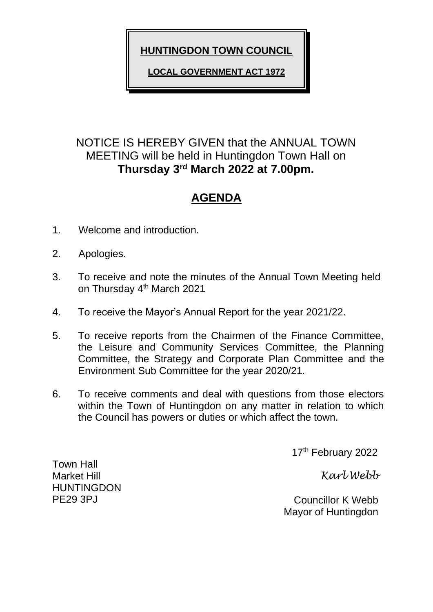**HUNTINGDON TOWN COUNCIL**

**LOCAL GOVERNMENT ACT 1972**

# NOTICE IS HEREBY GIVEN that the ANNUAL TOWN MEETING will be held in Huntingdon Town Hall on **Thursday 3 rd March 2022 at 7.00pm.**

# **AGENDA**

- 1. Welcome and introduction.
- 2. Apologies.
- 3. To receive and note the minutes of the Annual Town Meeting held on Thursday 4<sup>th</sup> March 2021
- 4. To receive the Mayor's Annual Report for the year 2021/22.
- 5. To receive reports from the Chairmen of the Finance Committee, the Leisure and Community Services Committee, the Planning Committee, the Strategy and Corporate Plan Committee and the Environment Sub Committee for the year 2020/21.
- 6. To receive comments and deal with questions from those electors within the Town of Huntingdon on any matter in relation to which the Council has powers or duties or which affect the town.

17<sup>th</sup> February 2022

*Karl Webb*

 Councillor K Webb Mayor of Huntingdon

Town Hall Market Hill HUNTINGDON PE29 3PJ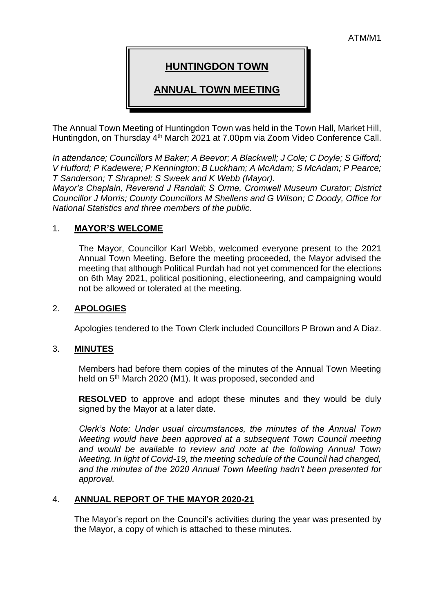# **HUNTINGDON TOWN**

## **ANNUAL TOWN MEETING**

The Annual Town Meeting of Huntingdon Town was held in the Town Hall, Market Hill, Huntingdon, on Thursday 4<sup>th</sup> March 2021 at 7.00pm via Zoom Video Conference Call.

*In attendance; Councillors M Baker; A Beevor; A Blackwell; J Cole; C Doyle; S Gifford; V Hufford; P Kadewere; P Kennington; B Luckham; A McAdam; S McAdam; P Pearce; T Sanderson; T Shrapnel; S Sweek and K Webb (Mayor).*

*Mayor's Chaplain, Reverend J Randall; S Orme, Cromwell Museum Curator; District Councillor J Morris; County Councillors M Shellens and G Wilson; C Doody, Office for National Statistics and three members of the public.*

#### 1. **MAYOR'S WELCOME**

The Mayor, Councillor Karl Webb, welcomed everyone present to the 2021 Annual Town Meeting. Before the meeting proceeded, the Mayor advised the meeting that although Political Purdah had not yet commenced for the elections on 6th May 2021, political positioning, electioneering, and campaigning would not be allowed or tolerated at the meeting.

#### 2. **APOLOGIES**

Apologies tendered to the Town Clerk included Councillors P Brown and A Diaz.

#### 3. **MINUTES**

Members had before them copies of the minutes of the Annual Town Meeting held on 5th March 2020 (M1). It was proposed, seconded and

**RESOLVED** to approve and adopt these minutes and they would be duly signed by the Mayor at a later date.

*Clerk's Note: Under usual circumstances, the minutes of the Annual Town Meeting would have been approved at a subsequent Town Council meeting and would be available to review and note at the following Annual Town Meeting. In light of Covid-19, the meeting schedule of the Council had changed, and the minutes of the 2020 Annual Town Meeting hadn't been presented for approval.* 

#### 4. **ANNUAL REPORT OF THE MAYOR 2020-21**

The Mayor's report on the Council's activities during the year was presented by the Mayor, a copy of which is attached to these minutes.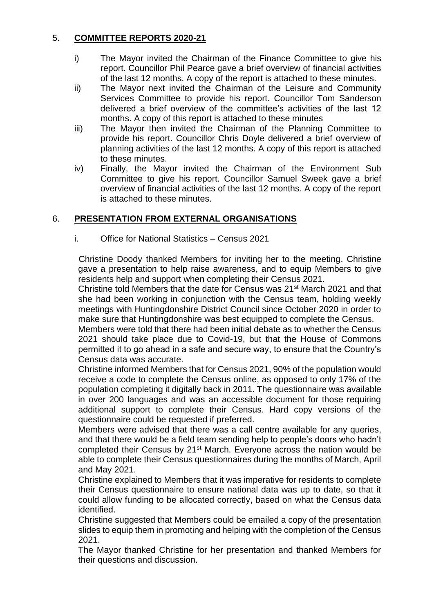### 5. **COMMITTEE REPORTS 2020-21**

- i) The Mayor invited the Chairman of the Finance Committee to give his report. Councillor Phil Pearce gave a brief overview of financial activities of the last 12 months. A copy of the report is attached to these minutes.
- ii) The Mayor next invited the Chairman of the Leisure and Community Services Committee to provide his report. Councillor Tom Sanderson delivered a brief overview of the committee's activities of the last 12 months. A copy of this report is attached to these minutes
- iii) The Mayor then invited the Chairman of the Planning Committee to provide his report. Councillor Chris Doyle delivered a brief overview of planning activities of the last 12 months. A copy of this report is attached to these minutes.
- iv) Finally, the Mayor invited the Chairman of the Environment Sub Committee to give his report. Councillor Samuel Sweek gave a brief overview of financial activities of the last 12 months. A copy of the report is attached to these minutes.

## 6. **PRESENTATION FROM EXTERNAL ORGANISATIONS**

#### i. Office for National Statistics – Census 2021

Christine Doody thanked Members for inviting her to the meeting. Christine gave a presentation to help raise awareness, and to equip Members to give residents help and support when completing their Census 2021.

Christine told Members that the date for Census was 21st March 2021 and that she had been working in conjunction with the Census team, holding weekly meetings with Huntingdonshire District Council since October 2020 in order to make sure that Huntingdonshire was best equipped to complete the Census.

Members were told that there had been initial debate as to whether the Census 2021 should take place due to Covid-19, but that the House of Commons permitted it to go ahead in a safe and secure way, to ensure that the Country's Census data was accurate.

Christine informed Members that for Census 2021, 90% of the population would receive a code to complete the Census online, as opposed to only 17% of the population completing it digitally back in 2011. The questionnaire was available in over 200 languages and was an accessible document for those requiring additional support to complete their Census. Hard copy versions of the questionnaire could be requested if preferred.

Members were advised that there was a call centre available for any queries, and that there would be a field team sending help to people's doors who hadn't completed their Census by 21<sup>st</sup> March. Everyone across the nation would be able to complete their Census questionnaires during the months of March, April and May 2021.

Christine explained to Members that it was imperative for residents to complete their Census questionnaire to ensure national data was up to date, so that it could allow funding to be allocated correctly, based on what the Census data identified.

Christine suggested that Members could be emailed a copy of the presentation slides to equip them in promoting and helping with the completion of the Census 2021.

The Mayor thanked Christine for her presentation and thanked Members for their questions and discussion.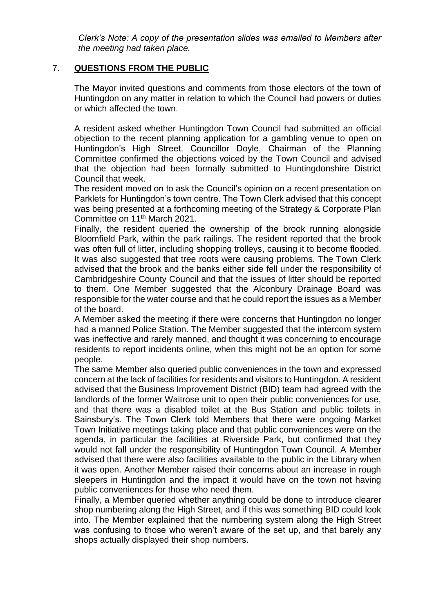*Clerk's Note: A copy of the presentation slides was emailed to Members after the meeting had taken place.*

#### 7. **QUESTIONS FROM THE PUBLIC**

The Mayor invited questions and comments from those electors of the town of Huntingdon on any matter in relation to which the Council had powers or duties or which affected the town.

A resident asked whether Huntingdon Town Council had submitted an official objection to the recent planning application for a gambling venue to open on Huntingdon's High Street. Councillor Doyle, Chairman of the Planning Committee confirmed the objections voiced by the Town Council and advised that the objection had been formally submitted to Huntingdonshire District Council that week.

The resident moved on to ask the Council's opinion on a recent presentation on Parklets for Huntingdon's town centre. The Town Clerk advised that this concept was being presented at a forthcoming meeting of the Strategy & Corporate Plan Committee on 11th March 2021.

Finally, the resident queried the ownership of the brook running alongside Bloomfield Park, within the park railings. The resident reported that the brook was often full of litter, including shopping trolleys, causing it to become flooded. It was also suggested that tree roots were causing problems. The Town Clerk advised that the brook and the banks either side fell under the responsibility of Cambridgeshire County Council and that the issues of litter should be reported to them. One Member suggested that the Alconbury Drainage Board was responsible for the water course and that he could report the issues as a Member of the board.

A Member asked the meeting if there were concerns that Huntingdon no longer had a manned Police Station. The Member suggested that the intercom system was ineffective and rarely manned, and thought it was concerning to encourage residents to report incidents online, when this might not be an option for some people.

The same Member also queried public conveniences in the town and expressed concern at the lack of facilities for residents and visitors to Huntingdon. A resident advised that the Business Improvement District (BID) team had agreed with the landlords of the former Waitrose unit to open their public conveniences for use, and that there was a disabled toilet at the Bus Station and public toilets in Sainsbury's. The Town Clerk told Members that there were ongoing Market Town Initiative meetings taking place and that public conveniences were on the agenda, in particular the facilities at Riverside Park, but confirmed that they would not fall under the responsibility of Huntingdon Town Council. A Member advised that there were also facilities available to the public in the Library when it was open. Another Member raised their concerns about an increase in rough sleepers in Huntingdon and the impact it would have on the town not having public conveniences for those who need them.

Finally, a Member queried whether anything could be done to introduce clearer shop numbering along the High Street, and if this was something BID could look into. The Member explained that the numbering system along the High Street was confusing to those who weren't aware of the set up, and that barely any shops actually displayed their shop numbers.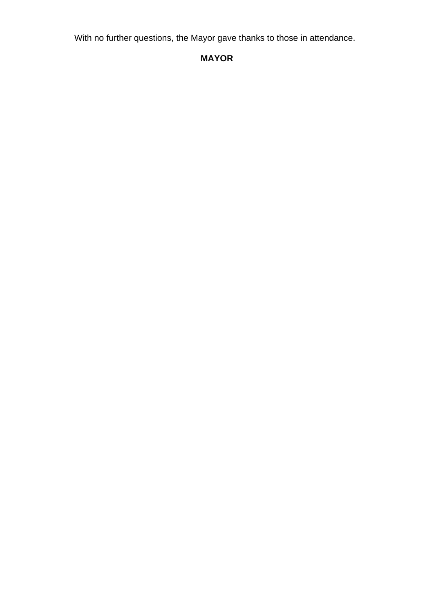With no further questions, the Mayor gave thanks to those in attendance.

# **MAYOR**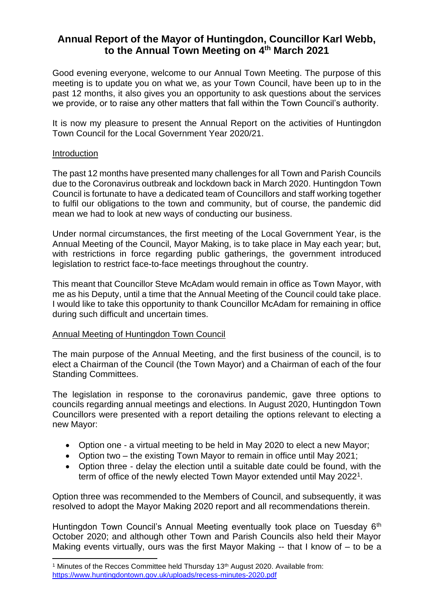# **Annual Report of the Mayor of Huntingdon, Councillor Karl Webb, to the Annual Town Meeting on 4th March 2021**

Good evening everyone, welcome to our Annual Town Meeting. The purpose of this meeting is to update you on what we, as your Town Council, have been up to in the past 12 months, it also gives you an opportunity to ask questions about the services we provide, or to raise any other matters that fall within the Town Council's authority.

It is now my pleasure to present the Annual Report on the activities of Huntingdon Town Council for the Local Government Year 2020/21.

#### Introduction

The past 12 months have presented many challenges for all Town and Parish Councils due to the Coronavirus outbreak and lockdown back in March 2020. Huntingdon Town Council is fortunate to have a dedicated team of Councillors and staff working together to fulfil our obligations to the town and community, but of course, the pandemic did mean we had to look at new ways of conducting our business.

Under normal circumstances, the first meeting of the Local Government Year, is the Annual Meeting of the Council, Mayor Making, is to take place in May each year; but, with restrictions in force regarding public gatherings, the government introduced legislation to restrict face-to-face meetings throughout the country.

This meant that Councillor Steve McAdam would remain in office as Town Mayor, with me as his Deputy, until a time that the Annual Meeting of the Council could take place. I would like to take this opportunity to thank Councillor McAdam for remaining in office during such difficult and uncertain times.

#### Annual Meeting of Huntingdon Town Council

The main purpose of the Annual Meeting, and the first business of the council, is to elect a Chairman of the Council (the Town Mayor) and a Chairman of each of the four Standing Committees.

The legislation in response to the coronavirus pandemic, gave three options to councils regarding annual meetings and elections. In August 2020, Huntingdon Town Councillors were presented with a report detailing the options relevant to electing a new Mayor:

- Option one a virtual meeting to be held in May 2020 to elect a new Mayor;
- Option two the existing Town Mayor to remain in office until May 2021;
- Option three delay the election until a suitable date could be found, with the term of office of the newly elected Town Mayor extended until May 2022<sup>1</sup>.

Option three was recommended to the Members of Council, and subsequently, it was resolved to adopt the Mayor Making 2020 report and all recommendations therein.

Huntingdon Town Council's Annual Meeting eventually took place on Tuesday 6<sup>th</sup> October 2020; and although other Town and Parish Councils also held their Mayor Making events virtually, ours was the first Mayor Making -- that I know of – to be a

<sup>&</sup>lt;sup>1</sup> Minutes of the Recces Committee held Thursday 13<sup>th</sup> August 2020. Available from: <https://www.huntingdontown.gov.uk/uploads/recess-minutes-2020.pdf>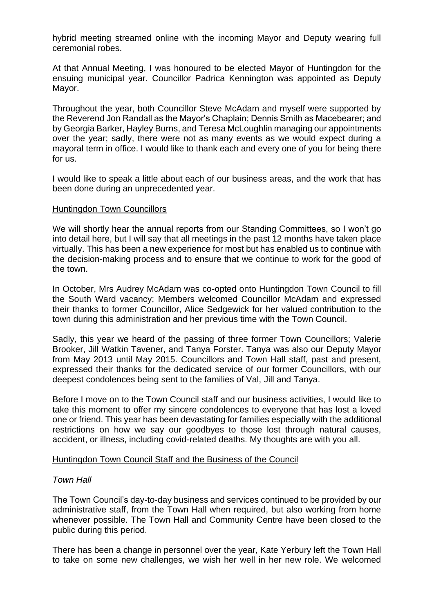hybrid meeting streamed online with the incoming Mayor and Deputy wearing full ceremonial robes.

At that Annual Meeting, I was honoured to be elected Mayor of Huntingdon for the ensuing municipal year. Councillor Padrica Kennington was appointed as Deputy Mayor.

Throughout the year, both Councillor Steve McAdam and myself were supported by the Reverend Jon Randall as the Mayor's Chaplain; Dennis Smith as Macebearer; and by Georgia Barker, Hayley Burns, and Teresa McLoughlin managing our appointments over the year; sadly, there were not as many events as we would expect during a mayoral term in office. I would like to thank each and every one of you for being there for us.

I would like to speak a little about each of our business areas, and the work that has been done during an unprecedented year.

#### Huntingdon Town Councillors

We will shortly hear the annual reports from our Standing Committees, so I won't go into detail here, but I will say that all meetings in the past 12 months have taken place virtually. This has been a new experience for most but has enabled us to continue with the decision-making process and to ensure that we continue to work for the good of the town.

In October, Mrs Audrey McAdam was co-opted onto Huntingdon Town Council to fill the South Ward vacancy; Members welcomed Councillor McAdam and expressed their thanks to former Councillor, Alice Sedgewick for her valued contribution to the town during this administration and her previous time with the Town Council.

Sadly, this year we heard of the passing of three former Town Councillors; Valerie Brooker, Jill Watkin Tavener, and Tanya Forster. Tanya was also our Deputy Mayor from May 2013 until May 2015. Councillors and Town Hall staff, past and present, expressed their thanks for the dedicated service of our former Councillors, with our deepest condolences being sent to the families of Val, Jill and Tanya.

Before I move on to the Town Council staff and our business activities, I would like to take this moment to offer my sincere condolences to everyone that has lost a loved one or friend. This year has been devastating for families especially with the additional restrictions on how we say our goodbyes to those lost through natural causes, accident, or illness, including covid-related deaths. My thoughts are with you all.

#### Huntingdon Town Council Staff and the Business of the Council

#### *Town Hall*

The Town Council's day-to-day business and services continued to be provided by our administrative staff, from the Town Hall when required, but also working from home whenever possible. The Town Hall and Community Centre have been closed to the public during this period.

There has been a change in personnel over the year, Kate Yerbury left the Town Hall to take on some new challenges, we wish her well in her new role. We welcomed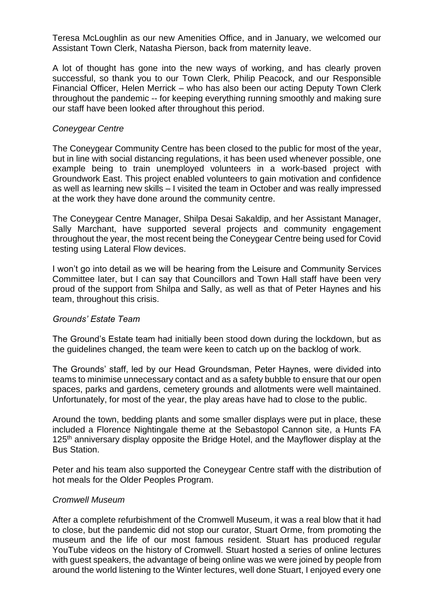Teresa McLoughlin as our new Amenities Office, and in January, we welcomed our Assistant Town Clerk, Natasha Pierson, back from maternity leave.

A lot of thought has gone into the new ways of working, and has clearly proven successful, so thank you to our Town Clerk, Philip Peacock, and our Responsible Financial Officer, Helen Merrick – who has also been our acting Deputy Town Clerk throughout the pandemic -- for keeping everything running smoothly and making sure our staff have been looked after throughout this period.

#### *Coneygear Centre*

The Coneygear Community Centre has been closed to the public for most of the year, but in line with social distancing regulations, it has been used whenever possible, one example being to train unemployed volunteers in a work-based project with Groundwork East. This project enabled volunteers to gain motivation and confidence as well as learning new skills – I visited the team in October and was really impressed at the work they have done around the community centre.

The Coneygear Centre Manager, Shilpa Desai Sakaldip, and her Assistant Manager, Sally Marchant, have supported several projects and community engagement throughout the year, the most recent being the Coneygear Centre being used for Covid testing using Lateral Flow devices.

I won't go into detail as we will be hearing from the Leisure and Community Services Committee later, but I can say that Councillors and Town Hall staff have been very proud of the support from Shilpa and Sally, as well as that of Peter Haynes and his team, throughout this crisis.

#### *Grounds' Estate Team*

The Ground's Estate team had initially been stood down during the lockdown, but as the guidelines changed, the team were keen to catch up on the backlog of work.

The Grounds' staff, led by our Head Groundsman, Peter Haynes, were divided into teams to minimise unnecessary contact and as a safety bubble to ensure that our open spaces, parks and gardens, cemetery grounds and allotments were well maintained. Unfortunately, for most of the year, the play areas have had to close to the public.

Around the town, bedding plants and some smaller displays were put in place, these included a Florence Nightingale theme at the Sebastopol Cannon site, a Hunts FA 125<sup>th</sup> anniversary display opposite the Bridge Hotel, and the Mayflower display at the Bus Station.

Peter and his team also supported the Coneygear Centre staff with the distribution of hot meals for the Older Peoples Program.

#### *Cromwell Museum*

After a complete refurbishment of the Cromwell Museum, it was a real blow that it had to close, but the pandemic did not stop our curator, Stuart Orme, from promoting the museum and the life of our most famous resident. Stuart has produced regular YouTube videos on the history of Cromwell. Stuart hosted a series of online lectures with guest speakers, the advantage of being online was we were joined by people from around the world listening to the Winter lectures, well done Stuart, I enjoyed every one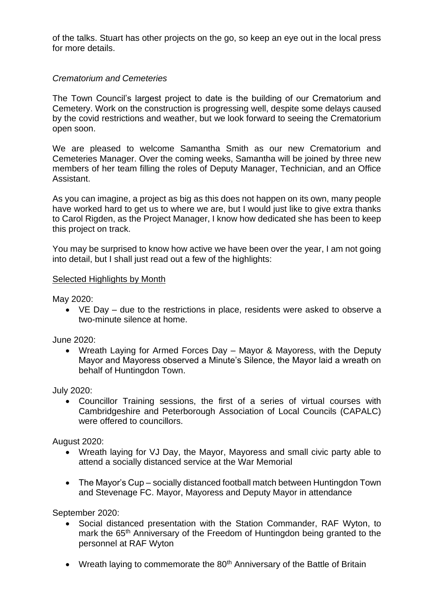of the talks. Stuart has other projects on the go, so keep an eye out in the local press for more details.

#### *Crematorium and Cemeteries*

The Town Council's largest project to date is the building of our Crematorium and Cemetery. Work on the construction is progressing well, despite some delays caused by the covid restrictions and weather, but we look forward to seeing the Crematorium open soon.

We are pleased to welcome Samantha Smith as our new Crematorium and Cemeteries Manager. Over the coming weeks, Samantha will be joined by three new members of her team filling the roles of Deputy Manager, Technician, and an Office Assistant.

As you can imagine, a project as big as this does not happen on its own, many people have worked hard to get us to where we are, but I would just like to give extra thanks to Carol Rigden, as the Project Manager, I know how dedicated she has been to keep this project on track.

You may be surprised to know how active we have been over the year, I am not going into detail, but I shall just read out a few of the highlights:

#### Selected Highlights by Month

May 2020:

• VE Day – due to the restrictions in place, residents were asked to observe a two-minute silence at home.

June 2020:

• Wreath Laying for Armed Forces Day – Mayor & Mayoress, with the Deputy Mayor and Mayoress observed a Minute's Silence, the Mayor laid a wreath on behalf of Huntingdon Town.

July 2020:

• Councillor Training sessions, the first of a series of virtual courses with Cambridgeshire and Peterborough Association of Local Councils (CAPALC) were offered to councillors.

August 2020:

- Wreath laying for VJ Day, the Mayor, Mayoress and small civic party able to attend a socially distanced service at the War Memorial
- The Mayor's Cup socially distanced football match between Huntingdon Town and Stevenage FC. Mayor, Mayoress and Deputy Mayor in attendance

September 2020:

- Social distanced presentation with the Station Commander, RAF Wyton, to mark the 65<sup>th</sup> Anniversary of the Freedom of Huntingdon being granted to the personnel at RAF Wyton
- Wreath laying to commemorate the 80<sup>th</sup> Anniversary of the Battle of Britain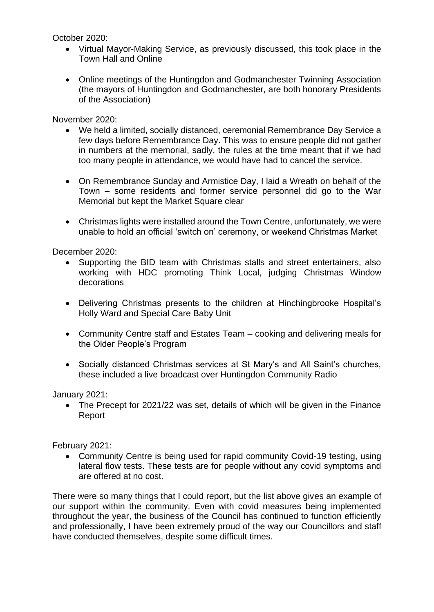October 2020:

- Virtual Mayor-Making Service, as previously discussed, this took place in the Town Hall and Online
- Online meetings of the Huntingdon and Godmanchester Twinning Association (the mayors of Huntingdon and Godmanchester, are both honorary Presidents of the Association)

November 2020:

- We held a limited, socially distanced, ceremonial Remembrance Day Service a few days before Remembrance Day. This was to ensure people did not gather in numbers at the memorial, sadly, the rules at the time meant that if we had too many people in attendance, we would have had to cancel the service.
- On Remembrance Sunday and Armistice Day, I laid a Wreath on behalf of the Town – some residents and former service personnel did go to the War Memorial but kept the Market Square clear
- Christmas lights were installed around the Town Centre, unfortunately, we were unable to hold an official 'switch on' ceremony, or weekend Christmas Market

December 2020:

- Supporting the BID team with Christmas stalls and street entertainers, also working with HDC promoting Think Local, judging Christmas Window decorations
- Delivering Christmas presents to the children at Hinchingbrooke Hospital's Holly Ward and Special Care Baby Unit
- Community Centre staff and Estates Team cooking and delivering meals for the Older People's Program
- Socially distanced Christmas services at St Mary's and All Saint's churches, these included a live broadcast over Huntingdon Community Radio

January 2021:

• The Precept for 2021/22 was set, details of which will be given in the Finance Report

February 2021:

• Community Centre is being used for rapid community Covid-19 testing, using lateral flow tests. These tests are for people without any covid symptoms and are offered at no cost.

There were so many things that I could report, but the list above gives an example of our support within the community. Even with covid measures being implemented throughout the year, the business of the Council has continued to function efficiently and professionally, I have been extremely proud of the way our Councillors and staff have conducted themselves, despite some difficult times.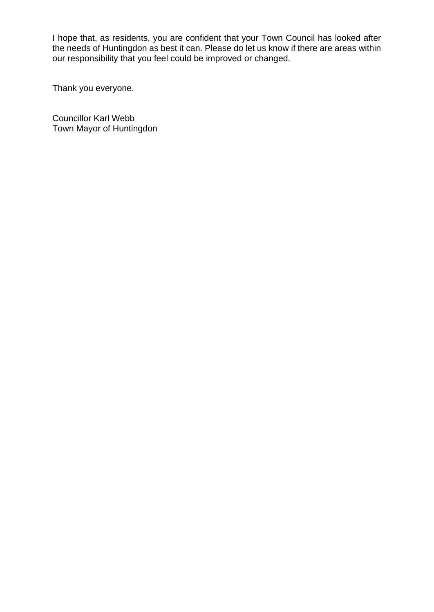I hope that, as residents, you are confident that your Town Council has looked after the needs of Huntingdon as best it can. Please do let us know if there are areas within our responsibility that you feel could be improved or changed.

Thank you everyone.

Councillor Karl Webb Town Mayor of Huntingdon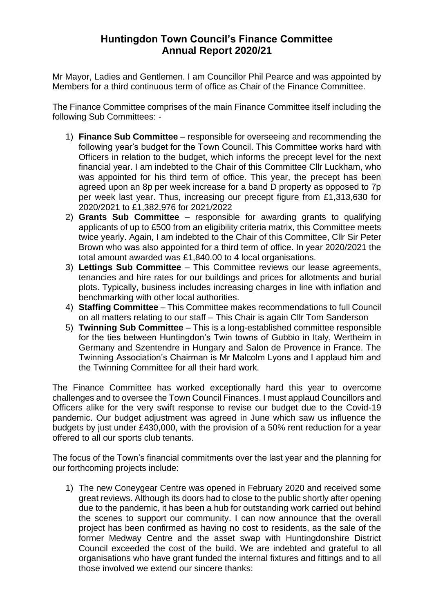# **Huntingdon Town Council's Finance Committee Annual Report 2020/21**

Mr Mayor, Ladies and Gentlemen. I am Councillor Phil Pearce and was appointed by Members for a third continuous term of office as Chair of the Finance Committee.

The Finance Committee comprises of the main Finance Committee itself including the following Sub Committees: -

- 1) **Finance Sub Committee** responsible for overseeing and recommending the following year's budget for the Town Council. This Committee works hard with Officers in relation to the budget, which informs the precept level for the next financial year. I am indebted to the Chair of this Committee Cllr Luckham, who was appointed for his third term of office. This year, the precept has been agreed upon an 8p per week increase for a band D property as opposed to 7p per week last year. Thus, increasing our precept figure from £1,313,630 for 2020/2021 to £1,382,976 for 2021/2022
- 2) **Grants Sub Committee** responsible for awarding grants to qualifying applicants of up to £500 from an eligibility criteria matrix, this Committee meets twice yearly. Again, I am indebted to the Chair of this Committee, Cllr Sir Peter Brown who was also appointed for a third term of office. In year 2020/2021 the total amount awarded was £1,840.00 to 4 local organisations.
- 3) **Lettings Sub Committee** This Committee reviews our lease agreements, tenancies and hire rates for our buildings and prices for allotments and burial plots. Typically, business includes increasing charges in line with inflation and benchmarking with other local authorities.
- 4) **Staffing Committee** This Committee makes recommendations to full Council on all matters relating to our staff – This Chair is again Cllr Tom Sanderson
- 5) **Twinning Sub Committee** This is a long-established committee responsible for the ties between Huntingdon's Twin towns of Gubbio in Italy, Wertheim in Germany and Szentendre in Hungary and Salon de Provence in France. The Twinning Association's Chairman is Mr Malcolm Lyons and I applaud him and the Twinning Committee for all their hard work.

The Finance Committee has worked exceptionally hard this year to overcome challenges and to oversee the Town Council Finances. I must applaud Councillors and Officers alike for the very swift response to revise our budget due to the Covid-19 pandemic. Our budget adjustment was agreed in June which saw us influence the budgets by just under £430,000, with the provision of a 50% rent reduction for a year offered to all our sports club tenants.

The focus of the Town's financial commitments over the last year and the planning for our forthcoming projects include:

1) The new Coneygear Centre was opened in February 2020 and received some great reviews. Although its doors had to close to the public shortly after opening due to the pandemic, it has been a hub for outstanding work carried out behind the scenes to support our community. I can now announce that the overall project has been confirmed as having no cost to residents, as the sale of the former Medway Centre and the asset swap with Huntingdonshire District Council exceeded the cost of the build. We are indebted and grateful to all organisations who have grant funded the internal fixtures and fittings and to all those involved we extend our sincere thanks: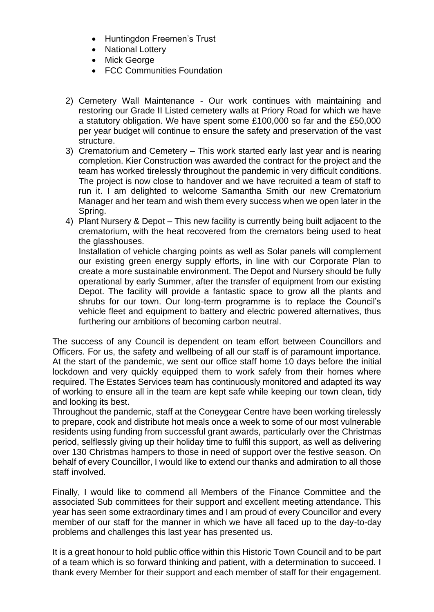- Huntingdon Freemen's Trust
- National Lottery
- Mick George
- FCC Communities Foundation
- 2) Cemetery Wall Maintenance Our work continues with maintaining and restoring our Grade II Listed cemetery walls at Priory Road for which we have a statutory obligation. We have spent some £100,000 so far and the £50,000 per year budget will continue to ensure the safety and preservation of the vast structure.
- 3) Crematorium and Cemetery This work started early last year and is nearing completion. Kier Construction was awarded the contract for the project and the team has worked tirelessly throughout the pandemic in very difficult conditions. The project is now close to handover and we have recruited a team of staff to run it. I am delighted to welcome Samantha Smith our new Crematorium Manager and her team and wish them every success when we open later in the Spring.
- 4) Plant Nursery & Depot This new facility is currently being built adjacent to the crematorium, with the heat recovered from the cremators being used to heat the glasshouses.

Installation of vehicle charging points as well as Solar panels will complement our existing green energy supply efforts, in line with our Corporate Plan to create a more sustainable environment. The Depot and Nursery should be fully operational by early Summer, after the transfer of equipment from our existing Depot. The facility will provide a fantastic space to grow all the plants and shrubs for our town. Our long-term programme is to replace the Council's vehicle fleet and equipment to battery and electric powered alternatives, thus furthering our ambitions of becoming carbon neutral.

The success of any Council is dependent on team effort between Councillors and Officers. For us, the safety and wellbeing of all our staff is of paramount importance. At the start of the pandemic, we sent our office staff home 10 days before the initial lockdown and very quickly equipped them to work safely from their homes where required. The Estates Services team has continuously monitored and adapted its way of working to ensure all in the team are kept safe while keeping our town clean, tidy and looking its best.

Throughout the pandemic, staff at the Coneygear Centre have been working tirelessly to prepare, cook and distribute hot meals once a week to some of our most vulnerable residents using funding from successful grant awards, particularly over the Christmas period, selflessly giving up their holiday time to fulfil this support, as well as delivering over 130 Christmas hampers to those in need of support over the festive season. On behalf of every Councillor, I would like to extend our thanks and admiration to all those staff involved.

Finally, I would like to commend all Members of the Finance Committee and the associated Sub committees for their support and excellent meeting attendance. This year has seen some extraordinary times and I am proud of every Councillor and every member of our staff for the manner in which we have all faced up to the day-to-day problems and challenges this last year has presented us.

It is a great honour to hold public office within this Historic Town Council and to be part of a team which is so forward thinking and patient, with a determination to succeed. I thank every Member for their support and each member of staff for their engagement.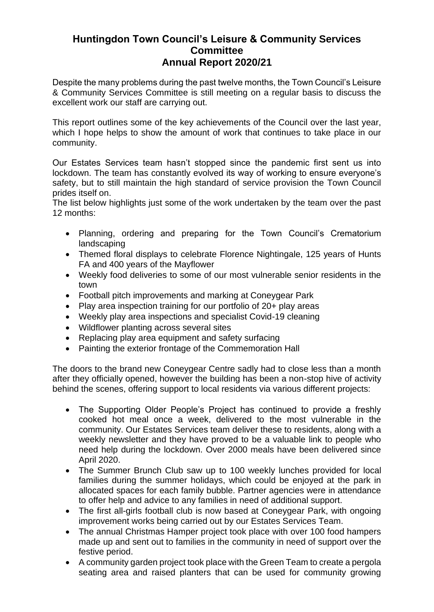# **Huntingdon Town Council's Leisure & Community Services Committee Annual Report 2020/21**

Despite the many problems during the past twelve months, the Town Council's Leisure & Community Services Committee is still meeting on a regular basis to discuss the excellent work our staff are carrying out.

This report outlines some of the key achievements of the Council over the last year, which I hope helps to show the amount of work that continues to take place in our community.

Our Estates Services team hasn't stopped since the pandemic first sent us into lockdown. The team has constantly evolved its way of working to ensure everyone's safety, but to still maintain the high standard of service provision the Town Council prides itself on.

The list below highlights just some of the work undertaken by the team over the past 12 months:

- Planning, ordering and preparing for the Town Council's Crematorium landscaping
- Themed floral displays to celebrate Florence Nightingale, 125 years of Hunts FA and 400 years of the Mayflower
- Weekly food deliveries to some of our most vulnerable senior residents in the town
- Football pitch improvements and marking at Coneygear Park
- Play area inspection training for our portfolio of 20+ play areas
- Weekly play area inspections and specialist Covid-19 cleaning
- Wildflower planting across several sites
- Replacing play area equipment and safety surfacing
- Painting the exterior frontage of the Commemoration Hall

The doors to the brand new Coneygear Centre sadly had to close less than a month after they officially opened, however the building has been a non-stop hive of activity behind the scenes, offering support to local residents via various different projects:

- The Supporting Older People's Project has continued to provide a freshly cooked hot meal once a week, delivered to the most vulnerable in the community. Our Estates Services team deliver these to residents, along with a weekly newsletter and they have proved to be a valuable link to people who need help during the lockdown. Over 2000 meals have been delivered since April 2020.
- The Summer Brunch Club saw up to 100 weekly lunches provided for local families during the summer holidays, which could be enjoyed at the park in allocated spaces for each family bubble. Partner agencies were in attendance to offer help and advice to any families in need of additional support.
- The first all-girls football club is now based at Coneygear Park, with ongoing improvement works being carried out by our Estates Services Team.
- The annual Christmas Hamper project took place with over 100 food hampers made up and sent out to families in the community in need of support over the festive period.
- A community garden project took place with the Green Team to create a pergola seating area and raised planters that can be used for community growing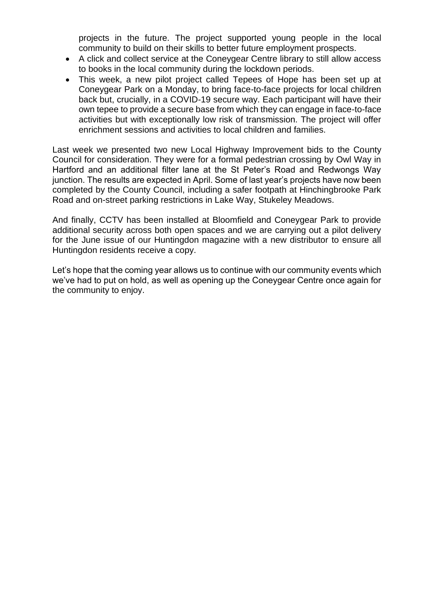projects in the future. The project supported young people in the local community to build on their skills to better future employment prospects.

- A click and collect service at the Coneygear Centre library to still allow access to books in the local community during the lockdown periods.
- This week, a new pilot project called Tepees of Hope has been set up at Coneygear Park on a Monday, to bring face-to-face projects for local children back but, crucially, in a COVID-19 secure way. Each participant will have their own tepee to provide a secure base from which they can engage in face-to-face activities but with exceptionally low risk of transmission. The project will offer enrichment sessions and activities to local children and families.

Last week we presented two new Local Highway Improvement bids to the County Council for consideration. They were for a formal pedestrian crossing by Owl Way in Hartford and an additional filter lane at the St Peter's Road and Redwongs Way junction. The results are expected in April. Some of last year's projects have now been completed by the County Council, including a safer footpath at Hinchingbrooke Park Road and on-street parking restrictions in Lake Way, Stukeley Meadows.

And finally, CCTV has been installed at Bloomfield and Coneygear Park to provide additional security across both open spaces and we are carrying out a pilot delivery for the June issue of our Huntingdon magazine with a new distributor to ensure all Huntingdon residents receive a copy.

Let's hope that the coming year allows us to continue with our community events which we've had to put on hold, as well as opening up the Coneygear Centre once again for the community to enjoy.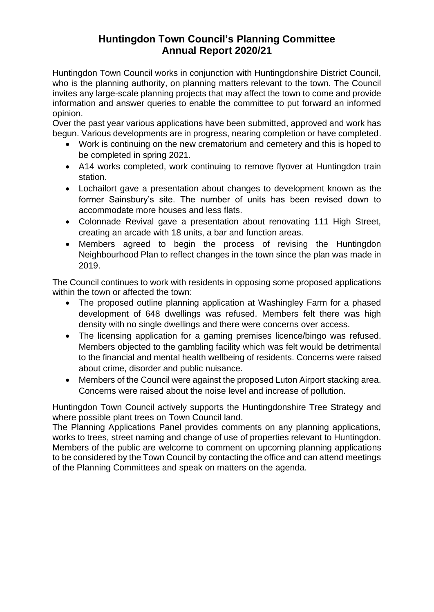# **Huntingdon Town Council's Planning Committee Annual Report 2020/21**

Huntingdon Town Council works in conjunction with Huntingdonshire District Council, who is the planning authority, on planning matters relevant to the town. The Council invites any large-scale planning projects that may affect the town to come and provide information and answer queries to enable the committee to put forward an informed opinion.

Over the past year various applications have been submitted, approved and work has begun. Various developments are in progress, nearing completion or have completed.

- Work is continuing on the new crematorium and cemetery and this is hoped to be completed in spring 2021.
- A14 works completed, work continuing to remove flyover at Huntingdon train station.
- Lochailort gave a presentation about changes to development known as the former Sainsbury's site. The number of units has been revised down to accommodate more houses and less flats.
- Colonnade Revival gave a presentation about renovating 111 High Street, creating an arcade with 18 units, a bar and function areas.
- Members agreed to begin the process of revising the Huntingdon Neighbourhood Plan to reflect changes in the town since the plan was made in 2019.

The Council continues to work with residents in opposing some proposed applications within the town or affected the town:

- The proposed outline planning application at Washingley Farm for a phased development of 648 dwellings was refused. Members felt there was high density with no single dwellings and there were concerns over access.
- The licensing application for a gaming premises licence/bingo was refused. Members objected to the gambling facility which was felt would be detrimental to the financial and mental health wellbeing of residents. Concerns were raised about crime, disorder and public nuisance.
- Members of the Council were against the proposed Luton Airport stacking area. Concerns were raised about the noise level and increase of pollution.

Huntingdon Town Council actively supports the Huntingdonshire Tree Strategy and where possible plant trees on Town Council land.

The Planning Applications Panel provides comments on any planning applications, works to trees, street naming and change of use of properties relevant to Huntingdon. Members of the public are welcome to comment on upcoming planning applications to be considered by the Town Council by contacting the office and can attend meetings of the Planning Committees and speak on matters on the agenda.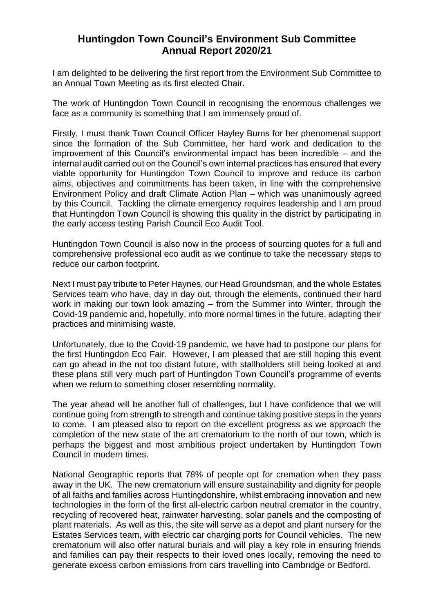## **Huntingdon Town Council's Environment Sub Committee Annual Report 2020/21**

I am delighted to be delivering the first report from the Environment Sub Committee to an Annual Town Meeting as its first elected Chair.

The work of Huntingdon Town Council in recognising the enormous challenges we face as a community is something that I am immensely proud of.

Firstly, I must thank Town Council Officer Hayley Burns for her phenomenal support since the formation of the Sub Committee, her hard work and dedication to the improvement of this Council's environmental impact has been incredible – and the internal audit carried out on the Council's own internal practices has ensured that every viable opportunity for Huntingdon Town Council to improve and reduce its carbon aims, objectives and commitments has been taken, in line with the comprehensive Environment Policy and draft Climate Action Plan – which was unanimously agreed by this Council. Tackling the climate emergency requires leadership and I am proud that Huntingdon Town Council is showing this quality in the district by participating in the early access testing Parish Council Eco Audit Tool.

Huntingdon Town Council is also now in the process of sourcing quotes for a full and comprehensive professional eco audit as we continue to take the necessary steps to reduce our carbon footprint.

Next I must pay tribute to Peter Haynes, our Head Groundsman, and the whole Estates Services team who have, day in day out, through the elements, continued their hard work in making our town look amazing – from the Summer into Winter, through the Covid-19 pandemic and, hopefully, into more normal times in the future, adapting their practices and minimising waste.

Unfortunately, due to the Covid-19 pandemic, we have had to postpone our plans for the first Huntingdon Eco Fair. However, I am pleased that are still hoping this event can go ahead in the not too distant future, with stallholders still being looked at and these plans still very much part of Huntingdon Town Council's programme of events when we return to something closer resembling normality.

The year ahead will be another full of challenges, but I have confidence that we will continue going from strength to strength and continue taking positive steps in the years to come. I am pleased also to report on the excellent progress as we approach the completion of the new state of the art crematorium to the north of our town, which is perhaps the biggest and most ambitious project undertaken by Huntingdon Town Council in modern times.

National Geographic reports that 78% of people opt for cremation when they pass away in the UK. The new crematorium will ensure sustainability and dignity for people of all faiths and families across Huntingdonshire, whilst embracing innovation and new technologies in the form of the first all-electric carbon neutral cremator in the country, recycling of recovered heat, rainwater harvesting, solar panels and the composting of plant materials. As well as this, the site will serve as a depot and plant nursery for the Estates Services team, with electric car charging ports for Council vehicles. The new crematorium will also offer natural burials and will play a key role in ensuring friends and families can pay their respects to their loved ones locally, removing the need to generate excess carbon emissions from cars travelling into Cambridge or Bedford.